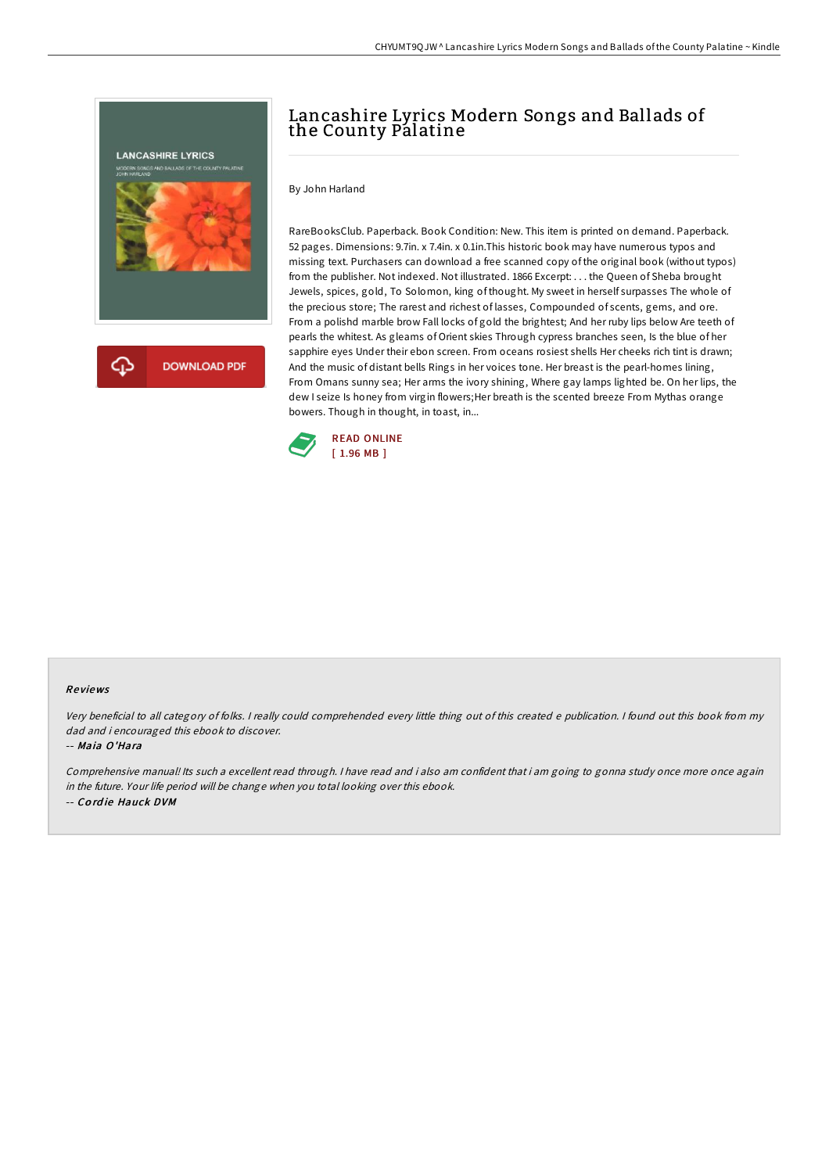

## Lancashire Lyrics Modern Songs and Ballads of the County Palatine

By John Harland

RareBooksClub. Paperback. Book Condition: New. This item is printed on demand. Paperback. 52 pages. Dimensions: 9.7in. x 7.4in. x 0.1in.This historic book may have numerous typos and missing text. Purchasers can download a free scanned copy of the original book (without typos) from the publisher. Not indexed. Not illustrated. 1866 Excerpt: . . . the Queen of Sheba brought Jewels, spices, gold, To Solomon, king of thought. My sweet in herself surpasses The whole of the precious store; The rarest and richest of lasses, Compounded of scents, gems, and ore. From a polishd marble brow Fall locks of gold the brightest; And her ruby lips below Are teeth of pearls the whitest. As gleams of Orient skies Through cypress branches seen, Is the blue of her sapphire eyes Under their ebon screen. From oceans rosiest shells Her cheeks rich tint is drawn; And the music of distant bells Rings in her voices tone. Her breast is the pearl-homes lining, From Omans sunny sea; Her arms the ivory shining, Where gay lamps lighted be. On her lips, the dew I seize Is honey from virgin flowers; Her breath is the scented breeze From Mythas orange bowers. Though in thought, in toast, in...



## Re views

Very beneficial to all category of folks. <sup>I</sup> really could comprehended every little thing out of this created <sup>e</sup> publication. <sup>I</sup> found out this book from my dad and i encouraged this ebook to discover.

-- Maia O'Hara

Comprehensive manual! Its such a excellent read through. I have read and i also am confident that i am going to gonna study once more once again in the future. Your life period will be change when you total looking over this ebook. -- Co rd ie Hauck DVM